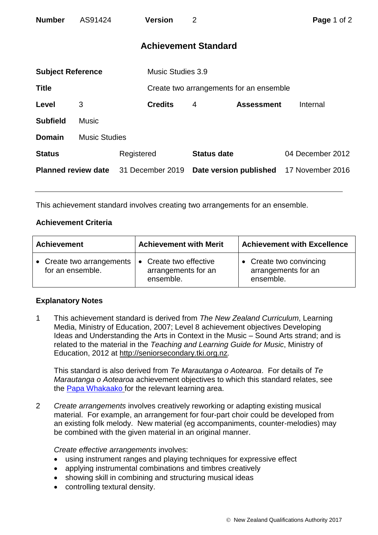| <b>Number</b>               | AS91424              |                  | <b>Version</b>           | 2                      |                                         | Page 1 of 2      |  |  |
|-----------------------------|----------------------|------------------|--------------------------|------------------------|-----------------------------------------|------------------|--|--|
| <b>Achievement Standard</b> |                      |                  |                          |                        |                                         |                  |  |  |
| <b>Subject Reference</b>    |                      |                  | <b>Music Studies 3.9</b> |                        |                                         |                  |  |  |
| <b>Title</b>                |                      |                  |                          |                        | Create two arrangements for an ensemble |                  |  |  |
| Level                       | 3                    |                  | <b>Credits</b>           | 4                      | <b>Assessment</b>                       | Internal         |  |  |
| <b>Subfield</b>             | <b>Music</b>         |                  |                          |                        |                                         |                  |  |  |
| <b>Domain</b>               | <b>Music Studies</b> |                  |                          |                        |                                         |                  |  |  |
| <b>Status</b>               |                      | Registered       |                          |                        | <b>Status date</b>                      | 04 December 2012 |  |  |
| <b>Planned review date</b>  |                      | 31 December 2019 |                          | Date version published |                                         | 17 November 2016 |  |  |

This achievement standard involves creating two arrangements for an ensemble.

## **Achievement Criteria**

| <b>Achievement</b>                                | <b>Achievement with Merit</b>                            | <b>Achievement with Excellence</b>                          |  |  |
|---------------------------------------------------|----------------------------------------------------------|-------------------------------------------------------------|--|--|
| • Create two arrangements   •<br>for an ensemble. | Create two effective<br>arrangements for an<br>ensemble. | • Create two convincing<br>arrangements for an<br>ensemble. |  |  |

## **Explanatory Notes**

1 This achievement standard is derived from *The New Zealand Curriculum*, Learning Media, Ministry of Education, 2007; Level 8 achievement objectives Developing Ideas and Understanding the Arts in Context in the Music – Sound Arts strand; and is related to the material in the *Teaching and Learning Guide for Music*, Ministry of Education, 2012 at [http://seniorsecondary.tki.org.nz](http://seniorsecondary.tki.org.nz/)*.*

This standard is also derived from *Te Marautanga o Aotearoa*. For details of *Te Marautanga o Aotearoa* achievement objectives to which this standard relates, see the [Papa Whakaako](http://tmoa.tki.org.nz/Te-Marautanga-o-Aotearoa/Taumata-Matauranga-a-Motu-Ka-Taea) for the relevant learning area.

2 *Create arrangements* involves creatively reworking or adapting existing musical material. For example, an arrangement for four-part choir could be developed from an existing folk melody. New material (eg accompaniments, counter-melodies) may be combined with the given material in an original manner.

*Create effective arrangements* involves:

- using instrument ranges and playing techniques for expressive effect
- applying instrumental combinations and timbres creatively
- showing skill in combining and structuring musical ideas
- controlling textural density.